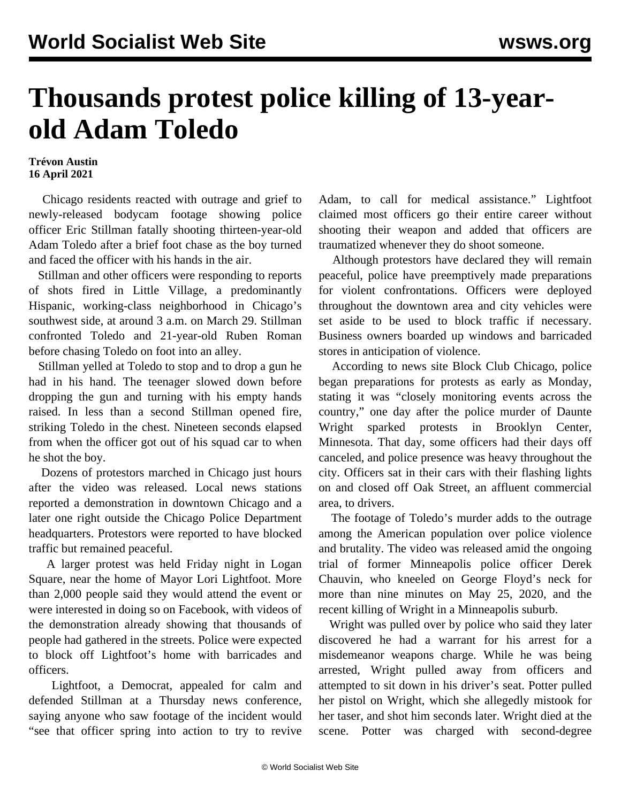## **Thousands protest police killing of 13-yearold Adam Toledo**

## **Trévon Austin 16 April 2021**

 Chicago residents reacted with outrage and grief to newly-released [bodycam footage](https://vimeo.com/user51379210) showing police officer Eric Stillman fatally shooting thirteen-year-old Adam Toledo after a brief foot chase as the boy turned and faced the officer with his hands in the air.

 Stillman and other officers were responding to reports of shots fired in Little Village, a predominantly Hispanic, working-class neighborhood in Chicago's southwest side, at around 3 a.m. on March 29. Stillman confronted Toledo and 21-year-old Ruben Roman before chasing Toledo on foot into an alley.

 Stillman yelled at Toledo to stop and to drop a gun he had in his hand. The teenager slowed down before dropping the gun and turning with his empty hands raised. In less than a second Stillman opened fire, striking Toledo in the chest. Nineteen seconds elapsed from when the officer got out of his squad car to when he shot the boy.

 Dozens of protestors marched in Chicago just hours after the video was released. Local news stations reported a demonstration in downtown Chicago and a later one right outside the Chicago Police Department headquarters. Protestors were reported to have blocked traffic but remained peaceful.

 A larger protest was held Friday night in Logan Square, near the home of Mayor Lori Lightfoot. More than 2,000 people said they would attend the event or were interested in doing so on Facebook, with videos of the demonstration already showing that thousands of people had gathered in the streets. Police were expected to block off Lightfoot's home with barricades and officers.

 Lightfoot, a Democrat, appealed for calm and defended Stillman at a Thursday news conference, saying anyone who saw footage of the incident would "see that officer spring into action to try to revive Adam, to call for medical assistance." Lightfoot claimed most officers go their entire career without shooting their weapon and added that officers are traumatized whenever they do shoot someone.

 Although protestors have declared they will remain peaceful, police have preemptively made preparations for violent confrontations. Officers were deployed throughout the downtown area and city vehicles were set aside to be used to block traffic if necessary. Business owners boarded up windows and barricaded stores in anticipation of violence.

 According to news site Block Club Chicago, police began preparations for protests as early as Monday, stating it was "closely monitoring events across the country," one day after the police murder of Daunte Wright sparked protests in Brooklyn Center, Minnesota. That day, some officers had their days off canceled, and police presence was heavy throughout the city. Officers sat in their cars with their flashing lights on and closed off Oak Street, an affluent commercial area, to drivers.

 The footage of Toledo's murder adds to the outrage among the American population over police violence and brutality. The video was released amid the ongoing trial of former Minneapolis police officer Derek Chauvin, who kneeled on George Floyd's neck for more than nine minutes on May 25, 2020, and the recent killing of Wright in a Minneapolis suburb.

 Wright was pulled over by police who said they later discovered he had a warrant for his arrest for a misdemeanor weapons charge. While he was being arrested, Wright pulled away from officers and attempted to sit down in his driver's seat. Potter pulled her pistol on Wright, which she allegedly mistook for her taser, and shot him seconds later. Wright died at the scene. Potter was charged with second-degree